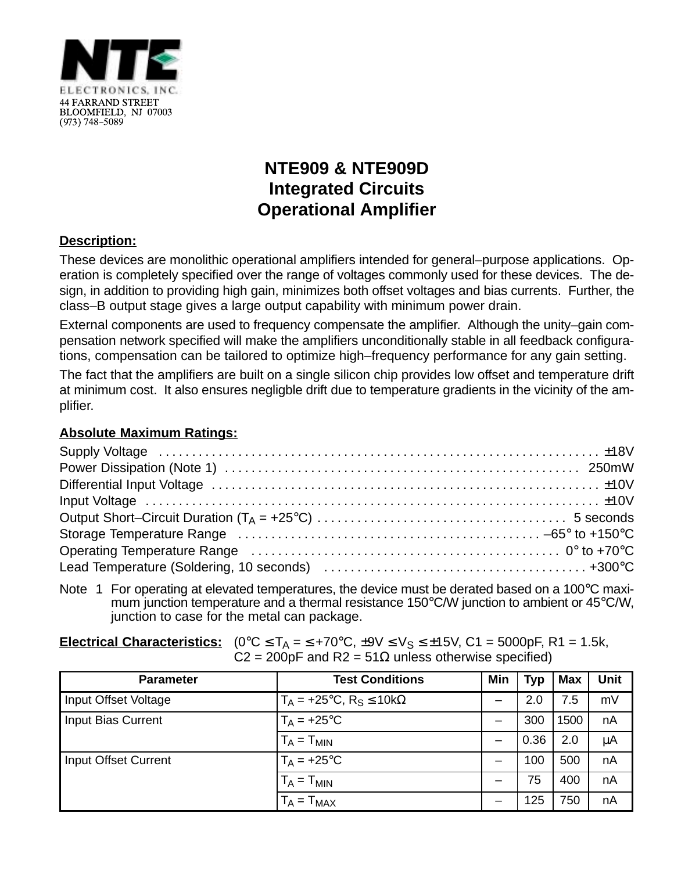

## **NTE909 & NTE909D Integrated Circuits Operational Amplifier**

## **Description:**

These devices are monolithic operational amplifiers intended for general–purpose applications. Operation is completely specified over the range of voltages commonly used for these devices. The design, in addition to providing high gain, minimizes both offset voltages and bias currents. Further, the class–B output stage gives a large output capability with minimum power drain.

External components are used to frequency compensate the amplifier. Although the unity–gain compensation network specified will make the amplifiers unconditionally stable in all feedback configurations, compensation can be tailored to optimize high–frequency performance for any gain setting.

The fact that the amplifiers are built on a single silicon chip provides low offset and temperature drift at minimum cost. It also ensures negligble drift due to temperature gradients in the vicinity of the amplifier.

## **Absolute Maximum Ratings:**

Note 1 For operating at elevated temperatures, the device must be derated based on a 100°C maximum junction temperature and a thermal resistance 150°C/W junction to ambient or 45°C/W, junction to case for the metal can package.

| <b>Electrical Characteristics:</b> $(0^{\circ}C \leq T_A = 5 + 70^{\circ}C, \pm 9V \leq V_S \leq \pm 15V, C_1 = 5000pF, R_1 = 1.5k,$ |
|--------------------------------------------------------------------------------------------------------------------------------------|
| $C2 = 200pF$ and R2 = 51 $\Omega$ unless otherwise specified)                                                                        |

| <b>Parameter</b>          | <b>Test Conditions</b>              | Min | <b>Typ</b> | <b>Max</b> | <b>Unit</b> |
|---------------------------|-------------------------------------|-----|------------|------------|-------------|
| Input Offset Voltage      | $T_A = +25$ °C, $R_S \le 10k\Omega$ | —   | 2.0        | 7.5        | mV          |
| <b>Input Bias Current</b> | $T_A = +25$ °C                      | —   | 300        | 1500       | nA          |
|                           | $T_A = T_{MIN}$                     |     | 0.36       | 2.0        | $\mu$ A     |
| Input Offset Current      | $T_A = +25$ °C                      |     | 100        | 500        | nA          |
|                           | $T_A = T_{MIN}$                     |     | 75         | 400        | nA          |
|                           | $= T_{MAX}$                         |     | 125        | 750        | nA          |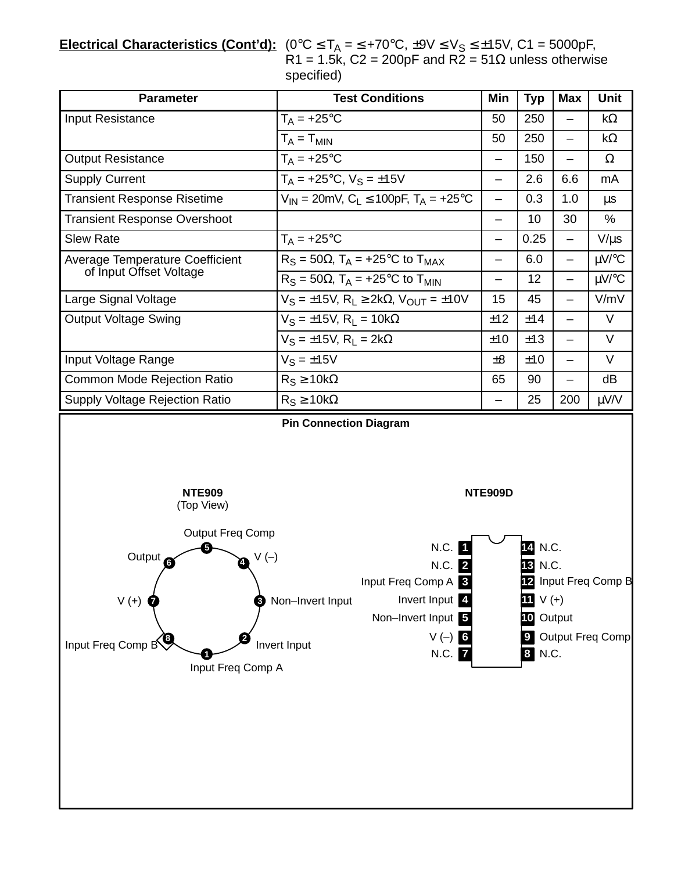**<u>Electrical Characteristics (Cont'd):</u> (0°C ≤ T<sub>A</sub> = ≤ +70°C, ±9V ≤ V<sub>S</sub> ≤ ±15V, C1 = 5000pF,** R1 = 1.5k, C2 = 200pF and R2 = 51 $\Omega$  unless otherwise specified)

| <b>Test Conditions</b>                                                                                                                                                                                                                                                                                                                                                                               | Min                           | <b>Typ</b> | <b>Max</b>               | Unit       |  |  |  |
|------------------------------------------------------------------------------------------------------------------------------------------------------------------------------------------------------------------------------------------------------------------------------------------------------------------------------------------------------------------------------------------------------|-------------------------------|------------|--------------------------|------------|--|--|--|
| $T_A = +25$ °C                                                                                                                                                                                                                                                                                                                                                                                       | 50                            | 250        |                          | $k\Omega$  |  |  |  |
| $T_A = T_{MIN}$                                                                                                                                                                                                                                                                                                                                                                                      | 50                            | 250        | $\qquad \qquad$          | $k\Omega$  |  |  |  |
| $T_A = +25$ °C                                                                                                                                                                                                                                                                                                                                                                                       | —                             | 150        | -                        | $\Omega$   |  |  |  |
| $T_A = +25$ °C, $V_S = \pm 15V$                                                                                                                                                                                                                                                                                                                                                                      | $\overline{\phantom{0}}$      | 2.6        | 6.6                      | mA         |  |  |  |
| $V_{IN}$ = 20mV, C <sub>L</sub> $\leq$ 100pF, T <sub>A</sub> = +25 <sup>o</sup> C                                                                                                                                                                                                                                                                                                                    | —                             | 0.3        | 1.0                      | $\mu s$    |  |  |  |
|                                                                                                                                                                                                                                                                                                                                                                                                      | $\overline{\phantom{0}}$      | 10         | 30                       | $\%$       |  |  |  |
| $T_A = +25$ °C                                                                                                                                                                                                                                                                                                                                                                                       | $\overline{\phantom{0}}$      | 0.25       | $\qquad \qquad -$        | $V/\mu s$  |  |  |  |
| $R_S = 50\Omega$ , $T_A = +25^{\circ}C$ to $T_{MAX}$                                                                                                                                                                                                                                                                                                                                                 | $\equiv$                      | 6.0        | $\overline{\phantom{0}}$ | $\mu$ V/°C |  |  |  |
| $R_S = 50\Omega$ , $T_A = +25^{\circ}C$ to $T_{MIN}$                                                                                                                                                                                                                                                                                                                                                 |                               | 12         | $\qquad \qquad$          | $\mu$ V/°C |  |  |  |
| $V_S = \pm 15V$ , $R_L \geq 2k\Omega$ , $V_{OUT} = \pm 10V$                                                                                                                                                                                                                                                                                                                                          | 15                            | 45         | —                        | V/mV       |  |  |  |
| $V_S = \pm 15V$ , $R_L = 10k\Omega$                                                                                                                                                                                                                                                                                                                                                                  | ±12                           | ±14        |                          | $\vee$     |  |  |  |
| $V_S = \pm 15V$ , $R_1 = 2k\Omega$                                                                                                                                                                                                                                                                                                                                                                   | ±10                           | ±13        | $\overline{\phantom{0}}$ | $\vee$     |  |  |  |
| $V_S = \pm 15V$                                                                                                                                                                                                                                                                                                                                                                                      | ±8                            | ±10        | $\overline{\phantom{0}}$ | $\vee$     |  |  |  |
| $R_S \ge 10k\Omega$                                                                                                                                                                                                                                                                                                                                                                                  | 65                            | 90         |                          | dB         |  |  |  |
| $R_S \ge 10k\Omega$                                                                                                                                                                                                                                                                                                                                                                                  |                               | 25         | 200                      | $\mu$ V/V  |  |  |  |
| <b>NTE909</b><br><b>NTE909D</b><br>(Top View)<br>Output Freq Comp<br>N.C.<br>14 N.C.<br>Output <sup>6</sup><br>$V(-)$<br>N.C. 2<br>13 N.C.<br>Input Freq Comp A 3<br>12 Input Freq Comp B<br>Invert Input<br>11 $V (+)$<br>Non-Invert Input<br>$V(+)$<br>Non-Invert Input 5<br>10 Output<br>Output Freq Comp<br>$V(-)$<br>Input Freq Comp B<br>Invert Input<br>8 N.C.<br>N.C. 7<br>Input Freq Comp A |                               |            |                          |            |  |  |  |
|                                                                                                                                                                                                                                                                                                                                                                                                      | <b>Pin Connection Diagram</b> |            |                          |            |  |  |  |